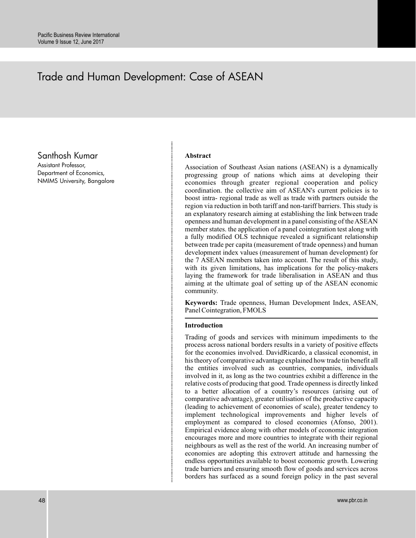# Trade and Human Development: Case of ASEAN

Santhosh Kumar

Assistant Professor, Department of Economics, NMIMS University, Bangalore

#### **Abstract**

Association of Southeast Asian nations (ASEAN) is a dynamically progressing group of nations which aims at developing their economies through greater regional cooperation and policy coordination. the collective aim of ASEAN's current policies is to boost intra- regional trade as well as trade with partners outside the region via reduction in both tariff and non-tariff barriers. This study is an explanatory research aiming at establishing the link between trade openness and human development in a panel consisting of the ASEAN member states. the application of a panel cointegration test along with a fully modified OLS technique revealed a significant relationship between trade per capita (measurement of trade openness) and human development index values (measurement of human development) for the 7 ASEAN members taken into account. The result of this study, with its given limitations, has implications for the policy-makers laying the framework for trade liberalisation in ASEAN and thus aiming at the ultimate goal of setting up of the ASEAN economic community.

**Keywords:** Trade openness, Human Development Index, ASEAN, Panel Cointegration, FMOLS

#### **Introduction**

Trading of goods and services with minimum impediments to the process across national borders results in a variety of positive effects for the economies involved. DavidRicardo, a classical economist, in his theory of comparative advantage explained how trade tin benefit all the entities involved such as countries, companies, individuals involved in it, as long as the two countries exhibit a difference in the relative costs of producing that good. Trade openness is directly linked to a better allocation of a country's resources (arising out of comparative advantage), greater utilisation of the productive capacity (leading to achievement of economies of scale), greater tendency to implement technological improvements and higher levels of employment as compared to closed economies (Afonso, 2001). Empirical evidence along with other models of economic integration encourages more and more countries to integrate with their regional neighbours as well as the rest of the world. An increasing number of economies are adopting this extrovert attitude and harnessing the endless opportunities available to boost economic growth. Lowering trade barriers and ensuring smooth flow of goods and services across borders has surfaced as a sound foreign policy in the past several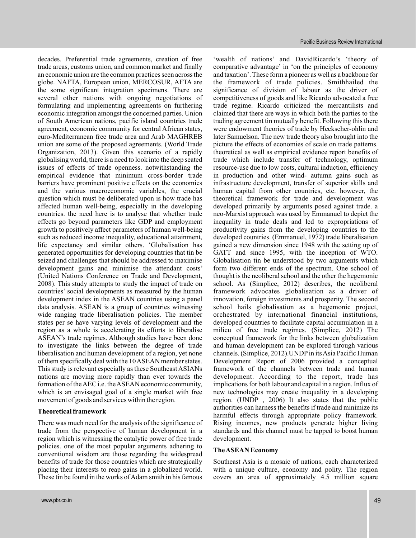decades. Preferential trade agreements, creation of free trade areas, customs union, and common market and finally an economic union are the common practices seen across the globe. NAFTA, European union, MERCOSUR, AFTA are the some significant integration specimens. There are several other nations with ongoing negotiations of formulating and implementing agreements on furthering economic integration amongst the concerned parties. Union of South American nations, pacific island countries trade agreement, economic community for central African states, euro-Mediterranean free trade area and Arab MAGHREB union are some of the proposed agreements. (World Trade Organization, 2013). Given this scenario of a rapidly globalising world, there is a need to look into the deep seated issues of effects of trade openness. notwithstanding the empirical evidence that minimum cross-border trade barriers have prominent positive effects on the economies and the various macroeconomic variables, the crucial question which must be deliberated upon is how trade has affected human well-being, especially in the developing countries. the need here is to analyse that whether trade effects go beyond parameters like GDP and employment growth to positively affect parameters of human well-being such as reduced income inequality, educational attainment, life expectancy and similar others. 'Globalisation has generated opportunities for developing countries that tin be seized and challenges that should be addressed to maximise development gains and minimise the attendant costs' (United Nations Conference on Trade and Development, 2008). This study attempts to study the impact of trade on countries' social developments as measured by the human development index in the ASEAN countries using a panel data analysis. ASEAN is a group of countries witnessing wide ranging trade liberalisation policies. The member states per se have varying levels of development and the region as a whole is accelerating its efforts to liberalise ASEAN's trade regimes. Although studies have been done to investigate the links between the degree of trade liberalisation and human development of a region, yet none of them specifically deal with the 10ASEAN member states. This study is relevant especially as these Southeast ASIANs nations are moving more rapidly than ever towards the formation of theAEC i.e. theASEAN economic community, which is an envisaged goal of a single market with free movement of goods and services within the region.

# **Theoretical framework**

There was much need for the analysis of the significance of trade from the perspective of human development in a region which is witnessing the catalytic power of free trade policies. one of the most popular arguments adhering to conventional wisdom are those regarding the widespread benefits of trade for those countries which are strategically placing their interests to reap gains in a globalized world. These tin be found in the works of Adam smith in his famous

'wealth of nations' and DavidRicardo's 'theory of comparative advantage' in 'on the principles of economy and taxation'. These form a pioneer as well as a backbone for the framework of trade policies. Smithhailed the significance of division of labour as the driver of competitiveness of goods and like Ricardo advocated a free trade regime. Ricardo criticized the mercantilists and claimed that there are ways in which both the parties to the trading agreement tin mutually benefit. Following this there were endowment theories of trade by Heckscher-ohlin and later Samuelson. The new trade theory also brought into the picture the effects of economies of scale on trade patterns. theoretical as well as empirical evidence report benefits of trade which include transfer of technology, optimum resource-use due to low costs, cultural induction, efficiency in production and other wind- autumn gains such as infrastructure development, transfer of superior skills and human capital from other countries, etc. however, the theoretical framework for trade and development was developed primarily by arguments posed against trade. a neo-Marxist approach was used by Emmanuel to depict the inequality in trade deals and led to expropriations of productivity gains from the developing countries to the developed countries. (Emmanuel, 1972) trade liberalisation gained a new dimension since 1948 with the setting up of GATT and since 1995, with the inception of WTO. Globalisation tin be understood by two arguments which form two different ends of the spectrum. One school of thought is the neoliberal school and the other the hegemonic school. As (Simplice, 2012) describes, the neoliberal framework advocates globalisation as a driver of innovation, foreign investments and prosperity. The second school hails globalisation as a hegemonic project, orchestrated by international financial institutions, developed countries to facilitate capital accumulation in a milieu of free trade regimes. (Simplice, 2012) The conceptual framework for the links between globalization and human development can be explored through various channels. (Simplice, 2012). UNDP in its Asia Pacific Human Development Report of 2006 provided a conceptual framework of the channels between trade and human development. According to the report, trade has implications for both labour and capital in a region. Influx of new technologies may create inequality in a developing region. (UNDP , 2006) It also states that the public authorities can harness the benefits if trade and minimize its harmful effects through appropriate policy framework. Rising incomes, new products generate higher living standards and this channel must be tapped to boost human development.

# **TheASEAN Economy**

Southeast Asia is a mosaic of nations, each characterized with a unique culture, economy and polity. The region covers an area of approximately 4.5 million square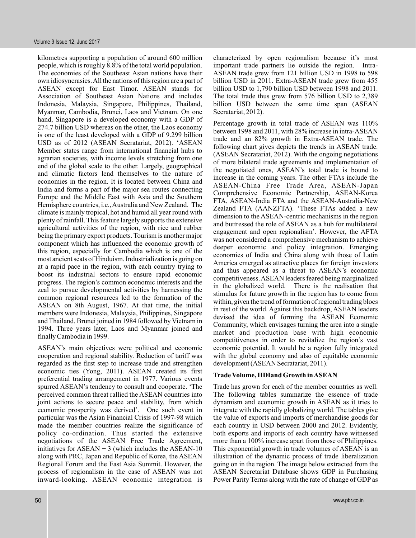kilometres supporting a population of around 600 million people, which is roughly 8.8% of the total world population. The economies of the Southeast Asian nations have their own idiosyncrasies.All the nations of this region are a part of ASEAN except for East Timor. ASEAN stands for Association of Southeast Asian Nations and includes Indonesia, Malaysia, Singapore, Philippines, Thailand, Myanmar, Cambodia, Brunei, Laos and Vietnam. On one hand, Singapore is a developed economy with a GDP of 274.7 billion USD whereas on the other, the Laos economy is one of the least developed with a GDP of 9.299 billion USD as of 2012 (ASEAN Secratariat, 2012). 'ASEAN Member states range from international financial hubs to agrarian societies, with income levels stretching from one end of the global scale to the other. Largely, geographical and climatic factors lend themselves to the nature of economies in the region. It is located between China and India and forms a part of the major sea routes connecting Europe and the Middle East with Asia and the Southern Hemisphere countries, i.e.,Australia and New Zealand. The climate is mainly tropical, hot and humid all year round with plenty of rainfall. This feature largely supports the extensive agricultural activities of the region, with rice and rubber being the primary export products. Tourism is another major component which has influenced the economic growth of this region, especially for Cambodia which is one of the most ancient seats of Hinduism. Industrialization is going on at a rapid pace in the region, with each country trying to boost its industrial sectors to ensure rapid economic progress. The region's common economic interests and the zeal to pursue developmental activities by harnessing the common regional resources led to the formation of the ASEAN on 8th August, 1967. At that time, the initial members were Indonesia, Malaysia, Philippines, Singapore and Thailand. Brunei joined in 1984 followed by Vietnam in 1994. Three years later, Laos and Myanmar joined and finally Cambodia in 1999.

ASEAN's main objectives were political and economic cooperation and regional stability. Reduction of tariff was regarded as the first step to increase trade and strengthen economic ties (Yong, 2011). ASEAN created its first preferential trading arrangement in 1977. Various events spurred ASEAN's tendency to consult and cooperate. 'The perceived common threat rallied the ASEAN countries into joint actions to secure peace and stability, from which economic prosperity was derived'. One such event in particular was the Asian Financial Crisis of 1997-98 which made the member countries realize the significance of policy co-ordination. Thus started the extensive negotiations of the ASEAN Free Trade Agreement, initiatives for  $ASEAN + 3$  (which includes the ASEAN-10 along with PRC, Japan and Republic of Korea, the ASEAN Regional Forum and the East Asia Summit. However, the process of regionalism in the case of ASEAN was not inward-looking. ASEAN economic integration is

characterized by open regionalism because it's most important trade partners lie outside the region. Intra-ASEAN trade grew from 121 billion USD in 1998 to 598 billion USD in 2011. Extra-ASEAN trade grew from 455 billion USD to 1,790 billion USD between 1998 and 2011. The total trade thus grew from 576 billion USD to 2,389 billion USD between the same time span (ASEAN Secratariat, 2012).

Percentage growth in total trade of ASEAN was 110% between 1998 and 2011, with 28% increase in intra-ASEAN trade and an 82% growth in Extra-ASEAN trade. The following chart gives depicts the trends in ASEAN trade. (ASEAN Secratariat, 2012). With the ongoing negotiations of more bilateral trade agreements and implementation of the negotiated ones, ASEAN's total trade is bound to increase in the coming years. The other FTAs include the ASEAN-China Free Trade Area, ASEAN-Japan Comprehensive Economic Partnership, ASEAN-Korea FTA, ASEAN-India FTA and the ASEAN-Australia-New Zealand FTA (AANZFTA). 'These FTAs added a new dimension to the ASEAN-centric mechanisms in the region and buttressed the role of ASEAN as a hub for multilateral engagement and open regionalism'. However, the AFTA was not considered a comprehensive mechanism to achieve deeper economic and policy integration. Emerging economies of India and China along with those of Latin America emerged as attractive places for foreign investors and thus appeared as a threat to ASEAN's economic competitiveness.ASEAN leaders feared being marginalized in the globalized world. There is the realisation that stimulus for future growth in the region has to come from within, given the trend of formation of regional trading blocs in rest of the world. Against this backdrop, ASEAN leaders devised the idea of forming the ASEAN Economic Community, which envisages turning the area into a single market and production base with high economic competitiveness in order to revitalize the region's vast economic potential. It would be a region fully integrated with the global economy and also of equitable economic development (ASEAN Secratariat, 2011).

#### **Trade Volume, HDIand Growth inASEAN**

Trade has grown for each of the member countries as well. The following tables summarize the essence of trade dynamism and economic growth in ASEAN as it tries to integrate with the rapidly globalizing world. The tables give the value of exports and imports of merchandise goods for each country in USD between 2000 and 2012. Evidently, both exports and imports of each country have witnessed more than a 100% increase apart from those of Philippines. This exponential growth in trade volumes of ASEAN is an illustration of the dynamic process of trade liberalization going on in the region. The image below extracted from the ASEAN Secretariat Database shows GDP in Purchasing Power Parity Terms along with the rate of change of GDP as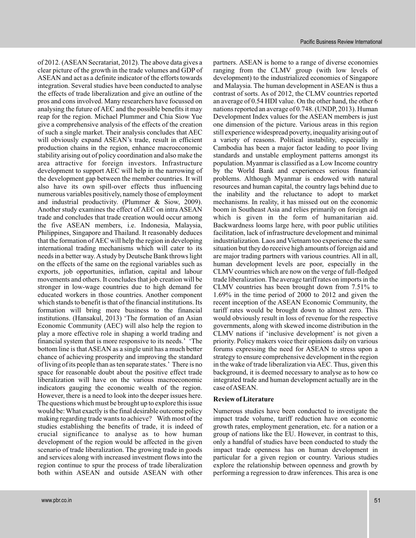of 2012. (ASEAN Secratariat, 2012). The above data gives a clear picture of the growth in the trade volumes and GDP of ASEAN and act as a definite indicator of the efforts towards integration. Several studies have been conducted to analyse the effects of trade liberalization and give an outline of the pros and cons involved. Many researchers have focussed on analysing the future of AEC and the possible benefits it may reap for the region. Michael Plummer and Chia Siow Yue give a comprehensive analysis of the effects of the creation of such a single market. Their analysis concludes that AEC will obviously expand ASEAN's trade, result in efficient production chains in the region, enhance macroeconomic stability arising out of policy coordination and also make the area attractive for foreign investors. Infrastructure development to support AEC will help in the narrowing of the development gap between the member countries. It will also have its own spill-over effects thus influencing numerous variables positively, namely those of employment and industrial productivity. (Plummer & Siow, 2009). Another study examines the effect of AEC on intra ASEAN trade and concludes that trade creation would occur among the five ASEAN members, i.e. Indonesia, Malaysia, Philippines, Singapore and Thailand. It reasonably deduces that the formation of AEC will help the region in developing international trading mechanisms which will cater to its needs in a better way.A study by Deutsche Bank throws light on the effects of the same on the regional variables such as exports, job opportunities, inflation, capital and labour movements and others. It concludes that job creation will be stronger in low-wage countries due to high demand for educated workers in those countries. Another component which stands to benefit is that of the financial institutions. Its formation will bring more business to the financial institutions. (Hansakul, 2013) 'The formation of an Asian Economic Community (AEC) will also help the region to play a more effective role in shaping a world trading and financial system that is more responsive to its needs.' 'The bottom line is that ASEAN as a single unit has a much better chance of achieving prosperity and improving the standard of living of its people than as ten separate states.' There is no space for reasonable doubt about the positive effect trade liberalization will have on the various macroeconomic indicators gauging the economic wealth of the region. However, there is a need to look into the deeper issues here. The questions which must be brought up to explore this issue would be:What exactly is the final desirable outcome policy making regarding trade wants to achieve? With most of the studies establishing the benefits of trade, it is indeed of crucial significance to analyse as to how human development of the region would be affected in the given scenario of trade liberalization. The growing trade in goods and services along with increased investment flows into the region continue to spur the process of trade liberalization both within ASEAN and outside ASEAN with other

partners. ASEAN is home to a range of diverse economies ranging from the CLMV group (with low levels of development) to the industrialized economies of Singapore and Malaysia. The human development in ASEAN is thus a contrast of sorts. As of 2012, the CLMV countries reported an average of 0.54 HDI value. On the other hand, the other 6 nations reported an average of 0.748. (UNDP, 2013). Human Development Index values for the ASEAN members is just one dimension of the picture. Various areas in this region still experience widespread poverty, inequality arising out of a variety of reasons. Political instability, especially in Cambodia has been a major factor leading to poor living standards and unstable employment patterns amongst its population. Myanmar is classified as a Low Income country by the World Bank and experiences serious financial problems. Although Myanmar is endowed with natural resources and human capital, the country lags behind due to the inability and the reluctance to adopt to market mechanisms. In reality, it has missed out on the economic boom in Southeast Asia and relies primarily on foreign aid which is given in the form of humanitarian aid. Backwardness looms large here, with poor public utilities facilitation, lack of infrastructure development and minimal industrialization. Laos and Vietnam too experience the same situation but they do receive high amounts of foreign aid and are major trading partners with various countries. All in all, human development levels are poor, especially in the CLMV countries which are now on the verge of full-fledged trade liberalization. The average tariff rates on imports in the CLMV countries has been brought down from 7.51% to 1.69% in the time period of 2000 to 2012 and given the recent inception of the ASEAN Economic Community, the tariff rates would be brought down to almost zero. This would obviously result in loss of revenue for the respective governments, along with skewed income distribution in the CLMV nations if 'inclusive development' is not given a priority. Policy makers voice their opinions daily on various forums expressing the need for ASEAN to stress upon a strategy to ensure comprehensive development in the region in the wake of trade liberalization via AEC. Thus, given this background, it is deemed necessary to analyse as to how co integrated trade and human development actually are in the case ofASEAN.

#### **Review of Literature**

Numerous studies have been conducted to investigate the impact trade volume, tariff reduction have on economic growth rates, employment generation, etc. for a nation or a group of nations like the EU. However, in contrast to this, only a handful of studies have been conducted to study the impact trade openness has on human development in particular for a given region or country. Various studies explore the relationship between openness and growth by performing a regression to draw inferences. This area is one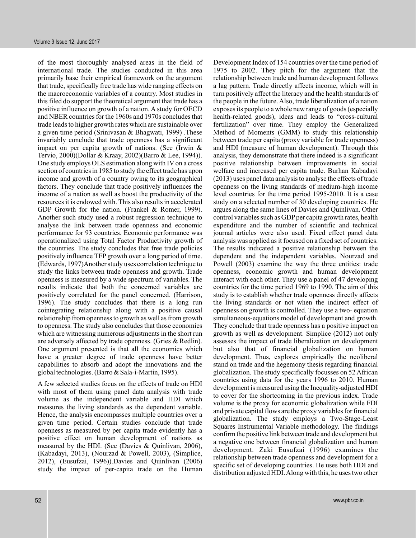of the most thoroughly analysed areas in the field of international trade. The studies conducted in this area primarily base their empirical framework on the argument that trade, specifically free trade has wide ranging effects on the macroeconomic variables of a country. Most studies in this filed do support the theoretical argument that trade has a positive influence on growth of a nation. A study for OECD and NBER countries for the 1960s and 1970s concludes that trade leads to higher growth rates which are sustainable over a given time period (Srinivasan & Bhagwati, 1999) .These invariably conclude that trade openness has a significant impact on per capita growth of nations. (See (Irwin & Tervio, 2000)(Dollar & Kraay, 2002)(Barro & Lee, 1994)). One study employs OLS estimation along with IV on a cross section of countries in 1985 to study the effect trade has upon income and growth of a country owing to its geographical factors. They conclude that trade positively influences the income of a nation as well as boost the productivity of the resources it is endowed with. This also results in accelerated GDP Growth for the nation. (Frankel & Romer, 1999). Another such study used a robust regression technique to analyse the link between trade openness and economic performance for 93 countries. Economic performance was operationalized using Total Factor Productivity growth of the countries. The study concludes that free trade policies positively influence TFP growth over a long period of time. (Edwards, 1997)Another study uses correlation technique to study the links between trade openness and growth. Trade openness is measured by a wide spectrum of variables. The results indicate that both the concerned variables are positively correlated for the panel concerned. (Harrison, 1996). The study concludes that there is a long run cointegrating relationship along with a positive causal relationship from openness to growth as well as from growth to openness. The study also concludes that those economies which are witnessing numerous adjustments in the short run are adversely affected by trade openness. (Gries & Redlin). One argument presented is that all the economies which have a greater degree of trade openness have better capabilities to absorb and adopt the innovations and the global technologies. (Barro & Sala-i-Martin, 1995).

A few selected studies focus on the effects of trade on HDI with most of them using panel data analysis with trade volume as the independent variable and HDI which measures the living standards as the dependent variable. Hence, the analysis encompasses multiple countries over a given time period. Certain studies conclude that trade openness as measured by per capita trade evidently has a positive effect on human development of nations as measured by the HDI. (See (Davies & Quinlivan, 2006), (Kabadayi, 2013), (Nourzad & Powell, 2003), (Simplice, 2012), (Eusufzai, 1996)).Davies and Quinlivan (2006) study the impact of per-capita trade on the Human

Development Index of 154 countries over the time period of 1975 to 2002. They pitch for the argument that the relationship between trade and human development follows a lag pattern. Trade directly affects income, which will in turn positively affect the literacy and the health standards of the people in the future. Also, trade liberalization of a nation exposes its people to a whole new range of goods (especially health-related goods), ideas and leads to "cross-cultural fertilization" over time. They employ the Generalized Method of Moments (GMM) to study this relationship between trade per capita (proxy variable for trade openness) and HDI (measure of human development). Through this analysis, they demonstrate that there indeed is a significant positive relationship between improvements in social welfare and increased per capita trade. Burhan Kabadayi (2013) uses panel data analysis to analyse the effects of trade openness on the living standards of medium-high income level countries for the time period 1995-2010. It is a case study on a selected number of 30 developing countries. He argues along the same lines of Davies and Quinlivan. Other control variables such as GDP per capita growth rates, health expenditure and the number of scientific and technical journal articles were also used. Fixed effect panel data analysis was applied as it focused on a fixed set of countries. The results indicated a positive relationship between the dependent and the independent variables. Nourzad and Powell (2003) examine the way the three entities: trade openness, economic growth and human development interact with each other. They use a panel of 47 developing countries for the time period 1969 to 1990. The aim of this study is to establish whether trade openness directly affects the living standards or not when the indirect effect of openness on growth is controlled. They use a two- equation simultaneous-equations model of development and growth. They conclude that trade openness has a positive impact on growth as well as development. Simplice (2012) not only assesses the impact of trade liberalization on development but also that of financial globalization on human development. Thus, explores empirically the neoliberal stand on trade and the hegemony thesis regarding financial globalization. The study specifically focusses on 52 African countries using data for the years 1996 to 2010. Human development is measured using the Inequality-adjusted HDI to cover for the shortcoming in the previous index. Trade volume is the proxy for economic globalization while FDI and private capital flows are the proxy variables for financial globalization. The study employs a Two-Stage-Least Squares Instrumental Variable methodology. The findings confirm the positive link between trade and development but a negative one between financial globalization and human development. Zaki Eusufzai (1996) examines the relationship between trade openness and development for a specific set of developing countries. He uses both HDI and distribution adjusted HDI. Along with this, he uses two other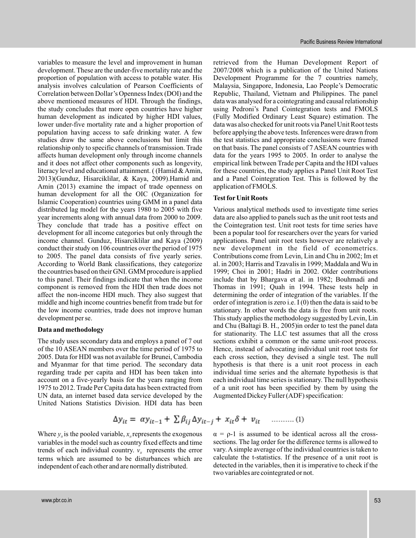variables to measure the level and improvement in human development. These are the under-five mortality rate and the proportion of population with access to potable water. His analysis involves calculation of Pearson Coefficients of Correlation between Dollar's Openness Index (DOI) and the above mentioned measures of HDI. Through the findings, the study concludes that more open countries have higher human development as indicated by higher HDI values, lower under-five mortality rate and a higher proportion of population having access to safe drinking water. A few studies draw the same above conclusions but limit this relationship only to specific channels of transmission. Trade affects human development only through income channels and it does not affect other components such as longevity, literacy level and educational attainment. ( (Hamid & Amin, 2013)(Gunduz, Hisarciklilar, & Kaya, 2009).Hamid and Amin (2013) examine the impact of trade openness on human development for all the OIC (Organization for Islamic Cooperation) countries using GMM in a panel data distributed lag model for the years 1980 to 2005 with five year increments along with annual data from 2000 to 2009. They conclude that trade has a positive effect on development for all income categories but only through the income channel. Gunduz, Hisarciklilar and Kaya (2009) conduct their study on 106 countries over the period of 1975 to 2005. The panel data consists of five yearly series. According to World Bank classifications, they categorize the countries based on their GNI. GMM procedure is applied to this panel. Their findings indicate that when the income component is removed from the HDI then trade does not affect the non-income HDI much. They also suggest that middle and high income countries benefit from trade but for the low income countries, trade does not improve human development per se.

#### **Data and methodology**

The study uses secondary data and employs a panel of 7 out of the 10 ASEAN members over the time period of 1975 to 2005. Data for HDI was not available for Brunei, Cambodia and Myanmar for that time period. The secondary data regarding trade per capita and HDI has been taken into account on a five-yearly basis for the years ranging from 1975 to 2012. Trade Per Capita data has been extracted from UN data, an internet based data service developed by the United Nations Statistics Division. HDI data has been

retrieved from the Human Development Report of 2007/2008 which is a publication of the United Nations Development Programme for the 7 countries namely, Malaysia, Singapore, Indonesia, Lao People's Democratic Republic, Thailand, Vietnam and Philippines. The panel data was analysed for a cointegrating and causal relationship using Pedroni's Panel Cointegration tests and FMOLS (Fully Modified Ordinary Least Square) estimation. The data was also checked for unit roots via Panel Unit Root tests before applying the above tests. Inferences were drawn from the test statistics and appropriate conclusions were framed on that basis. The panel consists of 7 ASEAN countries with data for the years 1995 to 2005. In order to analyse the empirical link between Trade per Capita and the HDI values for these countries, the study applies a Panel Unit Root Test and a Panel Cointegration Test. This is followed by the application of FMOLS.

#### **Test for Unit Roots**

Various analytical methods used to investigate time series data are also applied to panels such as the unit root tests and the Cointegration test. Unit root tests for time series have been a popular tool for researchers over the years for varied applications. Panel unit root tests however are relatively a new development in the field of econometrics. Contributions come from Levin, Lin and Chu in 2002; Im et al. in 2003; Harris and Tzavalis in 1999; Maddala and Wu in 1999; Choi in 2001; Hadri in 2002. Older contributions include that by Bhargava et al. in 1982; Bouhmadi and Thomas in 1991; Quah in 1994. These tests help in determining the order of integration of the variables. If the order of integration is zero i.e. I (0) then the data is said to be stationary. In other words the data is free from unit roots. This study applies the methodology suggested by Levin, Lin and Chu (Baltagi B. H., 2005)in order to test the panel data for stationarity. The LLC test assumes that all the cross sections exhibit a common or the same unit-root process. Hence, instead of advocating individual unit root tests for each cross section, they devised a single test. The null hypothesis is that there is a unit root process in each individual time series and the alternate hypothesis is that each individual time series is stationary. The null hypothesis of a unit root has been specified by them by using the Augmented Dickey Fuller (ADF) specification:

$$
\Delta y_{it} = \alpha y_{it-1} + \sum \beta_{ij} \Delta y_{it-j} + x_{it} \delta + v_{it} \quad \dots \dots \dots (1)
$$

Where  $y_{ii}$  is the pooled variable,  $x_{ii}$  represents the exogenous variables in the model such as country fixed effects and time trends of each individual country.  $v_{i}$  represents the error terms which are assumed to be disturbances which are independent of each other and are normally distributed.

vary. A simple average of the individual countries is taken to calculate the t-statistics. If the presence of a unit root is detected in the variables, then it is imperative to check if the two variables are cointegrated or not.  $\alpha$  = ρ-1 is assumed to be identical across all the crosssections. The lag order for the difference terms is allowed to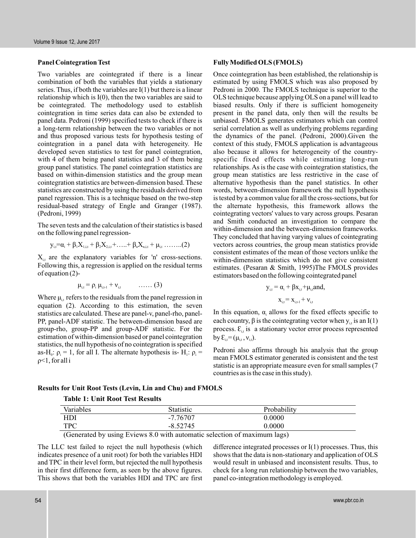Two variables are cointegrated if there is a linear combination of both the variables that yields a stationary series. Thus, if both the variables are I(1) but there is a linear relationship which is I(0), then the two variables are said to be cointegrated. The methodology used to establish cointegration in time series data can also be extended to panel data. Pedroni (1999) specified tests to check if there is a long-term relationship between the two variables or not and thus proposed various tests for hypothesis testing of cointegration in a panel data with heterogeneity. He developed seven statistics to test for panel cointegration, with 4 of them being panel statistics and 3 of them being group panel statistics. The panel cointegration statistics are based on within-dimension statistics and the group mean cointegration statistics are between-dimension based. These statistics are constructed by using the residuals derived from panel regression. This is a technique based on the two-step residual-based strategy of Engle and Granger (1987). (Pedroni, 1999)

The seven tests and the calculation of their statistics is based on the following panel regression-

$$
y_{i,t} = \! \alpha_i + \beta_1 X_{1,i,t} + \beta_2 X_{2,i,t} + \! \ldots + \beta_n X_{n,i,t} + \mu_{i,t} \ldots \! \ldots \! \ldots \! \! \ldots \! \! \! (2)
$$

 $X_{i,t}$  are the explanatory variables for 'n' cross-sections. Following this, a regression is applied on the residual terms of equation (2)-

$$
\mu_{i,t} = \rho_i \mu_{i,t-1} + \nu_{i,t} \qquad \qquad \ldots \ldots (3)
$$

Where  $\mu_{i,t}$  refers to the residuals from the panel regression in equation (2). According to this estimation, the seven statistics are calculated. These are panel-v, panel-rho, panel-PP, panel-ADF statistic. The between-dimension based are group-rho, group-PP and group-ADF statistic. For the estimation of within-dimension based or panel cointegration statistics, the null hypothesis of no cointegration is specified as-H<sub>0</sub>:  $\rho_i = 1$ , for all I. The alternate hypothesis is- H<sub>1</sub>:  $\rho_i =$ <1, for all i ρ

#### **Panel Cointegration Test Fully Modified OLS (FMOLS)**

Once cointegration has been established, the relationship is estimated by using FMOLS which was also proposed by Pedroni in 2000. The FMOLS technique is superior to the OLS technique because applying OLS on a panel will lead to biased results. Only if there is sufficient homogeneity present in the panel data, only then will the results be unbiased. FMOLS generates estimators which can control serial correlation as well as underlying problems regarding the dynamics of the panel. (Pedroni, 2000).Given the context of this study, FMOLS application is advantageous also because it allows for heterogeneity of the countryspecific fixed effects while estimating long-run relationships. As is the case with cointegration statistics, the group mean statistics are less restrictive in the case of alternative hypothesis than the panel statistics. In other words, between-dimension framework the null hypothesis is tested by a common value for all the cross-sections, but for the alternate hypothesis, this framework allows the cointegrating vectors' values to vary across groups. Pesaran and Smith conducted an investigation to compare the within-dimension and the between-dimension frameworks. They concluded that having varying values of cointegrating vectors across countries, the group mean statistics provide consistent estimates of the mean of those vectors unlike the within-dimension statistics which do not give consistent estimates. (Pesaran & Smith, 1995)The FMOLS provides estimators based on the following cointegrated panel

$$
y_{i,t} = \alpha_i + \beta x_{i,t} + \mu_{i,t} and,
$$

$$
\mathbf{x}_{i,t} = \mathbf{x}_{i,t-1} + \mathbf{v}_{i,t}
$$

In this equation,  $\alpha_i$  allows for the fixed effects specific to each country,  $\beta$  is the cointegrating vector when  $y_{i,t}$  is an I(1) process.  $\mathcal{E}_{i,t}$  is a stationary vector error process represented by  $\mathcal{E}_{i,t} = (\mu_{i,t}, v_{i,t}).$ 

Pedroni also affirms through his analysis that the group mean FMOLS estimator generated is consistent and the test statistic is an appropriate measure even for small samples (7 countries as is the case in this study).

# **Results for Unit Root Tests (Levin, Lin and Chu) and FMOLS**

| Variables  | <b>Statistic</b> | Probability |  |
|------------|------------------|-------------|--|
| HDI        | -7.76707         | 0.0000      |  |
| <b>TPC</b> | $-8.52745$       | 0.0000      |  |

(Generated by using Eviews 8.0 with automatic selection of maximum lags)

The LLC test failed to reject the null hypothesis (which indicates presence of a unit root) for both the variables HDI and TPC in their level form, but rejected the null hypothesis in their first difference form, as seen by the above figures. This shows that both the variables HDI and TPC are first difference integrated processes or I(1) processes. Thus, this shows that the data is non-stationary and application of OLS would result in unbiased and inconsistent results. Thus, to check for a long run relationship between the two variables, panel co-integration methodology is employed.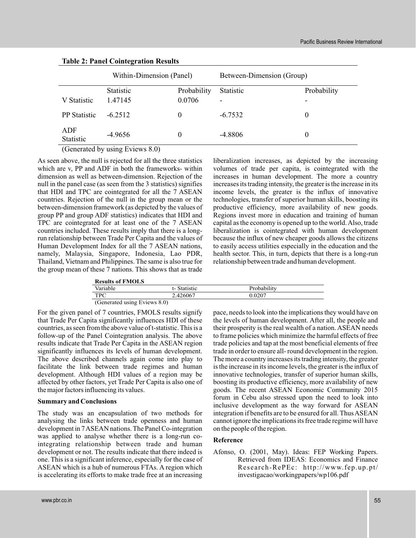|                     | Within-Dimension (Panel) |             | Between-Dimension (Group) |             |
|---------------------|--------------------------|-------------|---------------------------|-------------|
|                     | Statistic                | Probability | Statistic                 | Probability |
| V Statistic         | 1.47145                  | 0.0706      |                           |             |
| <b>PP</b> Statistic | $-6.2512$                | $\theta$    | $-6.7532$                 | $\theta$    |
| ADF<br>Statistic    | $-4.9656$                | 0           | $-4.8806$                 | 0           |

# **Table 2: Panel Cointegration Results**

(Generated by using Eviews 8.0)

As seen above, the null is rejected for all the three statistics which are v, PP and ADF in both the frameworks- within dimension as well as between-dimension. Rejection of the null in the panel case (as seen from the 3 statistics) signifies that HDI and TPC are cointegrated for all the 7 ASEAN countries. Rejection of the null in the group mean or the between-dimension framework (as depicted by the values of group PP and group ADF statistics) indicates that HDI and TPC are cointegrated for at least one of the 7 ASEAN countries included. These results imply that there is a longrun relationship between Trade Per Capita and the values of Human Development Index for all the 7 ASEAN nations, namely, Malaysia, Singapore, Indonesia, Lao PDR, Thailand, Vietnam and Philippines. The same is also true for the group mean of these 7 nations. This shows that as trade

| liberalization increases, as depicted by the increasing             |
|---------------------------------------------------------------------|
| volumes of trade per capita, is cointegrated with the               |
| increases in human development. The more a country                  |
| increases its trading intensity, the greater is the increase in its |
| income levels, the greater is the influx of innovative              |
| technologies, transfer of superior human skills, boosting its       |
| productive efficiency, more availability of new goods.              |
| Regions invest more in education and training of human              |
| capital as the economy is opened up to the world. Also, trade       |
| liberalization is cointegrated with human development               |
| because the influx of new cheaper goods allows the citizens         |
| to easily access utilities especially in the education and the      |
| health sector. This, in turn, depicts that there is a long-run      |
| relationship between trade and human development.                   |

| Variable   | t-Statistic | Probability |
|------------|-------------|-------------|
| <b>TPC</b> | 2.426067    | 0.0207      |

For the given panel of 7 countries, FMOLS results signify that Trade Per Capita significantly influences HDI of these countries, as seen from the above value of t-statistic. This is a follow-up of the Panel Cointegration analysis. The above results indicate that Trade Per Capita in the ASEAN region significantly influences its levels of human development. The above described channels again come into play to facilitate the link between trade regimes and human development. Although HDI values of a region may be affected by other factors, yet Trade Per Capita is also one of the major factors influencing its values.

# **Summary and Conclusions**

The study was an encapsulation of two methods for analysing the links between trade openness and human development in 7ASEAN nations. The Panel Co-integration was applied to analyse whether there is a long-run cointegrating relationship between trade and human development or not. The results indicate that there indeed is one. This is a significant inference, especially for the case of ASEAN which is a hub of numerous FTAs. A region which is accelerating its efforts to make trade free at an increasing

pace, needs to look into the implications they would have on the levels of human development. After all, the people and their prosperity is the real wealth of a nation. ASEAN needs to frame policies which minimize the harmful effects of free trade policies and tap at the most beneficial elements of free trade in order to ensure all- round development in the region. The more a country increases its trading intensity, the greater is the increase in its income levels, the greater is the influx of innovative technologies, transfer of superior human skills, boosting its productive efficiency, more availability of new goods. The recent ASEAN Economic Community 2015 forum in Cebu also stressed upon the need to look into inclusive development as the way forward for ASEAN integration if benefits are to be ensured for all. Thus ASEAN cannot ignore the implications its free trade regime will have on the people of the region.

# **Reference**

Afonso, O. (2001, May). Ideas: FEP Working Papers. Retrieved from IDEAS: Economics and Finance Research-RePEc: http://www.fep.up.pt/ investigacao/workingpapers/wp106.pdf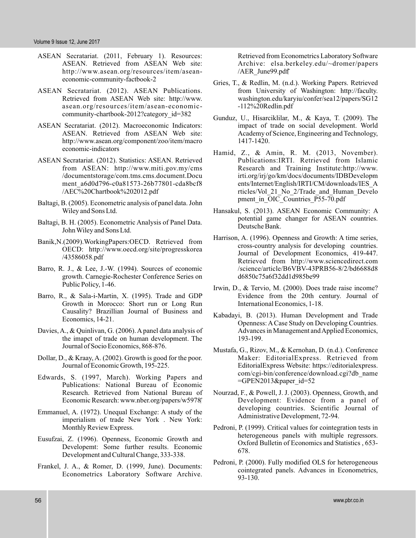- ASEAN Secratariat. (2011, February 1). Resources: ASEAN. Retrieved from ASEAN Web site: http://www.asean.org/resources/item/aseaneconomic-community-factbook-2
- ASEAN Secratariat. (2012). ASEAN Publications. Retrieved from ASEAN Web site: http://www. asean.org/resources/item/asean-economiccommunity-chartbook-2012?category\_id=382
- ASEAN Secratariat. (2012). Macroeconomic Indicators: ASEAN. Retrieved from ASEAN Web site: http://www.asean.org/component/zoo/item/macro economic-indicators
- ASEAN Secratariat. (2012). Statistics: ASEAN. Retrieved from ASEAN: http://www.miti.gov.my/cms /documentstorage/com.tms.cms.document.Docu ment\_a6d0d796-c0a81573-26b77801-cda8bcf8 /AEC%20Chartbook%202012.pdf
- Baltagi, B. (2005). Econometric analysis of panel data. John Wiley and Sons Ltd.
- Baltagi, B. H. (2005). Econometric Analysis of Panel Data. JohnWiley and Sons Ltd.
- Banik,N.(2009).WorkingPapers:OECD. Retrieved from OECD: http://www.oecd.org/site/progresskorea /43586058.pdf
- Barro, R. J., & Lee, J.-W. (1994). Sources of economic growth. Carnegie-Rochester Conference Series on Public Policy, 1-46.
- Barro, R., & Sala-i-Martin, X. (1995). Trade and GDP Growth in Morocco: Short run or Long Run Causality? Brazillian Journal of Business and Economics, 14-21.
- Davies, A., & Quinlivan, G. (2006). A panel data analysis of the imapct of trade on human development. The Journal of Socio Economics, 868-876.
- Dollar, D., & Kraay, A. (2002). Growth is good for the poor. Journal of Economic Growth, 195-225.
- Edwards, S. (1997, March). Working Papers and Publications: National Bureau of Economic Research. Retrieved from National Bureau of Economic Research: www.nber.org/papers/w5978
- Emmanuel, A. (1972). Unequal Exchange: A study of the imperialism of trade New York . New York: Monthly Review Express.
- Eusufzai, Z. (1996). Openness, Economic Growth and Developemt: Some further results. Economic Development and Cultural Change, 333-338.
- Frankel, J. A., & Romer, D. (1999, June). Documents: Econometrics Laboratory Software Archive.

Retrieved from Econometrics Laboratory Software Archive: elsa.berkeley.edu/~dromer/papers /AER\_June99.pdf

- Gries, T., & Redlin, M. (n.d.). Working Papers. Retrieved from University of Washington: http://faculty. washington.edu/karyiu/confer/sea12/papers/SG12 -112%20Redlin.pdf
- Gunduz, U., Hisarciklilar, M., & Kaya, T. (2009). The impact of trade on social development. World Academy of Science, Engineering and Technology, 1417-1420.
- Hamid, Z., & Amin, R. M. (2013, November). Publications:IRTI. Retrieved from Islamic Research and Training Institute:http://www. irti.org/irj/go/km/docs/documents/IDBDevelopm ents/Internet/English/IRTI/CM/downloads/IES\_A rticles/Vol\_21\_No\_2/Trade\_and\_Human\_Develo pment in OIC Countries P55-70.pdf
- Hansakul, S. (2013). ASEAN Economic Community: A potential game changer for ASEAN countries. Deutsche Bank.
- Harrison, A. (1996). Openness and Growth: A time series, cross-country analysis for developing countries. Journal of Development Economics, 419-447. Retrieved from http://www.sciencedirect.com /science/article/B6VBV-43PRB56-8/2/bd6688d8 d6850c75a6f32dd1d985be99
- Irwin, D., & Tervio, M. (2000). Does trade raise income? Evidence from the 20th century. Journal of International Economics, 1-18.
- Kabadayi, B. (2013). Human Development and Trade Openness: A Case Study on Developing Countries. Advances in Management and Applied Economics, 193-199.
- Mustafa, G., Rizov, M., & Kernohan, D. (n.d.). Conference Maker: EditorialExpress. Retrieved from EditorialExpress Website: https://editorialexpress. com/cgi-bin/conference/download.cgi?db\_name  $=$ GPEN2013&paper id=52
- Nourzad, F., & Powell, J. J. (2003). Openness, Growth, and Development: Evidence from a panel of developing countries. Scientific Journal of Administrative Development, 72-94.
- Pedroni, P. (1999). Critical values for cointegration tests in heterogeneous panels with multiple regressors. Oxford Bulletin of Economics and Statistics , 653- 678.
- Pedroni, P. (2000). Fully modified OLS for heterogeneous cointegrated panels. Advances in Econometrics, 93-130.